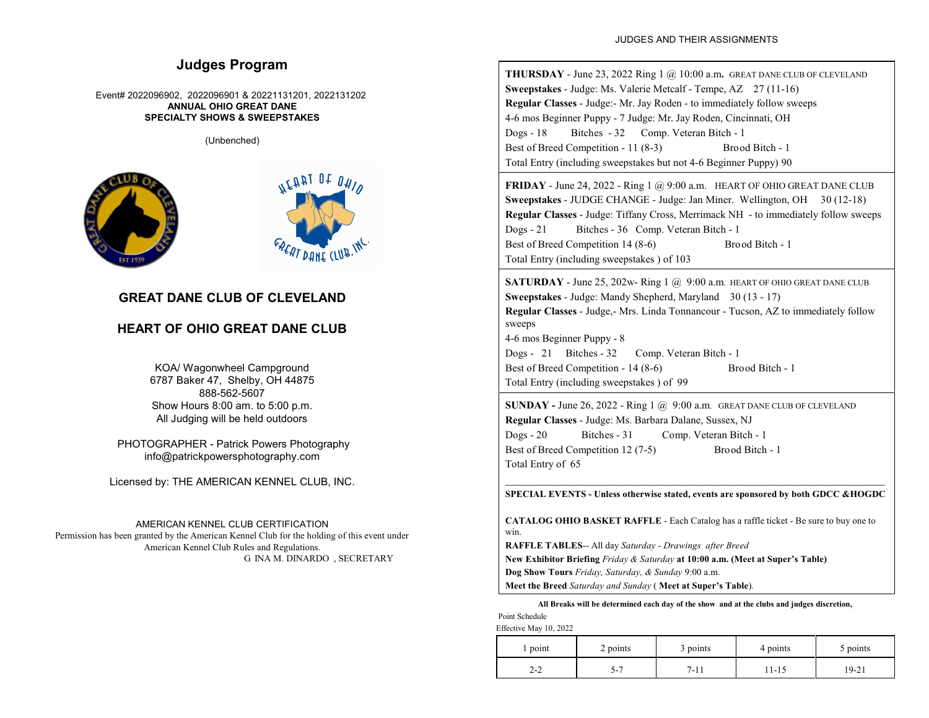# **Judges Program**

#### Event# 2022096902, 2022096901 & 20221131201, 2022131202 **ANNUAL OHIO GREAT DANE SPECIALTY SHOWS & SWEEPSTAKES**

(Unbenched)



# **GREAT DANE CLUB OF CLEVELAND**

## **HEART OF OHIO GREAT DANE CLUB**

KOA/ Wagonwheel Campground 6787 Baker 47, Shelby, OH 44875 888-562-5607 Show Hours 8:00 am. to 5:00 p.m. All Judging will be held outdoors

 PHOTOGRAPHER - Patrick Powers Photography info@patrickpowersphotography.com

Licensed by: THE AMERICAN KENNEL CLUB, INC.

## AMERICAN KENNEL CLUB CERTIFICATION

Permission has been granted by the American Kennel Club for the holding of this event under American Kennel Club Rules and Regulations. G INA M. DINARDO , SECRETARY

**THURSDAY** - June 23, 2022 Ring 1 @ 10:00 a.m**.** GREAT DANE CLUB OF CLEVELAND **Sweepstakes** - Judge: Ms. Valerie Metcalf - Tempe, AZ 27 (11-16) **Regular Classes** - Judge:- Mr. Jay Roden - to immediately follow sweeps 4-6 mos Beginner Puppy - 7 Judge: Mr. Jay Roden, Cincinnati, OH Dogs - 18 Bitches - 32 Comp. Veteran Bitch - 1 Best of Breed Competition - 11 (8-3) Brood Bitch - 1 Total Entry (including sweepstakes but not 4-6 Beginner Puppy) 90

**FRIDAY** - June 24, 2022 - Ring 1 @ 9:00 a.m. HEART OF OHIO GREAT DANE CLUB **Sweepstakes** - JUDGE CHANGE - Judge: Jan Miner. Wellington, OH 30 (12-18) **Regular Classes** - Judge: Tiffany Cross, Merrimack NH - to immediately follow sweeps Dogs - 21 Bitches - 36 Comp. Veteran Bitch - 1 Best of Breed Competition 14 (8-6) Brood Bitch - 1 Total Entry (including sweepstakes ) of 103

**SATURDAY** - June 25, 202w- Ring 1 @ 9:00 a.m. HEART OF OHIO GREAT DANE CLUB **Sweepstakes** - Judge: Mandy Shepherd, Maryland 30 (13 - 17) **Regular Classes** - Judge,- Mrs. Linda Tonnancour - Tucson, AZ to immediately follow sweeps 4-6 mos Beginner Puppy - 8 Dogs - 21 Bitches - 32 Comp. Veteran Bitch - 1 Best of Breed Competition - 14 (8-6) Brood Bitch - 1 Total Entry (including sweepstakes ) of 99

**SUNDAY -** June 26, 2022 - Ring 1 @ 9:00 a.m. GREAT DANE CLUB OF CLEVELAND **Regular Classes** - Judge: Ms. Barbara Dalane, Sussex, NJ Dogs - 20 Bitches - 31 Comp. Veteran Bitch - 1 Best of Breed Competition 12 (7-5) Brood Bitch - 1 Total Entry of 65

\_\_\_\_\_\_\_\_\_\_\_\_\_\_\_\_\_\_\_\_\_\_\_\_\_\_\_\_\_\_\_\_\_\_\_\_\_\_\_\_\_\_\_\_\_\_\_\_\_\_\_\_\_\_\_\_\_\_\_ **SPECIAL EVENTS - Unless otherwise stated, events are sponsored by both GDCC &HOGDC**

**CATALOG OHIO BASKET RAFFLE** - Each Catalog has a raffle ticket - Be sure to buy one to win.

**RAFFLE TABLES**-- All day *Saturday - Drawings after Breed*

**New Exhibitor Briefing** *Friday & Saturday* **at 10:00 a.m. (Meet at Super's Table)**

**Dog Show Tours** *Friday, Saturday, & Sunday* 9:00 a.m.

**Meet the Breed** *Saturday and Sunday* ( **Meet at Super's Table**)*.*

**All Breaks will be determined each day of the show and at the clubs and judges discretion**,

Point Schedule

Effective May 10, 2022

| point    | 2 points | 3 points     | 4 points | 5 points |
|----------|----------|--------------|----------|----------|
| ົ<br>2-2 | - ن      | 7.11<br>'-11 | 11-15    | 19-21    |